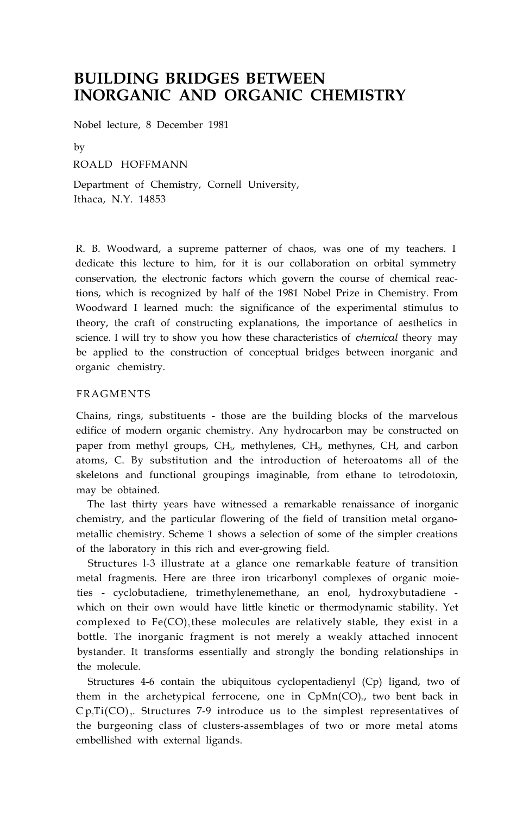# **BUILDING BRIDGES BETWEEN INORGANIC AND ORGANIC CHEMISTRY**

Nobel lecture, 8 December 1981

by

ROALD HOFFMANN

Department of Chemistry, Cornell University, Ithaca, N.Y. 14853

R. B. Woodward, a supreme patterner of chaos, was one of my teachers. I dedicate this lecture to him, for it is our collaboration on orbital symmetry conservation, the electronic factors which govern the course of chemical reactions, which is recognized by half of the 1981 Nobel Prize in Chemistry. From Woodward I learned much: the significance of the experimental stimulus to theory, the craft of constructing explanations, the importance of aesthetics in science. I will try to show you how these characteristics of *chemical* theory may be applied to the construction of conceptual bridges between inorganic and organic chemistry.

### FRAGMENTS

Chains, rings, substituents - those are the building blocks of the marvelous edifice of modern organic chemistry. Any hydrocarbon may be constructed on paper from methyl groups,  $CH<sub>y</sub>$  methylenes,  $CH<sub>y</sub>$  methynes, CH, and carbon atoms, C. By substitution and the introduction of heteroatoms all of the skeletons and functional groupings imaginable, from ethane to tetrodotoxin, may be obtained.

The last thirty years have witnessed a remarkable renaissance of inorganic chemistry, and the particular flowering of the field of transition metal organometallic chemistry. Scheme 1 shows a selection of some of the simpler creations of the laboratory in this rich and ever-growing field.

Structures l-3 illustrate at a glance one remarkable feature of transition metal fragments. Here are three iron tricarbonyl complexes of organic moieties - cyclobutadiene, trimethylenemethane, an enol, hydroxybutadiene which on their own would have little kinetic or thermodynamic stability. Yet complexed to  $Fe(CO)$ <sub>s</sub>these molecules are relatively stable, they exist in a bottle. The inorganic fragment is not merely a weakly attached innocent bystander. It transforms essentially and strongly the bonding relationships in the molecule.

Structures 4-6 contain the ubiquitous cyclopentadienyl (Cp) ligand, two of them in the archetypical ferrocene, one in  $CpMn(CO)$ <sub>3</sub>, two bent back in  $C p_2Ti(CO)$ <sub>2</sub>. Structures 7-9 introduce us to the simplest representatives of the burgeoning class of clusters-assemblages of two or more metal atoms embellished with external ligands.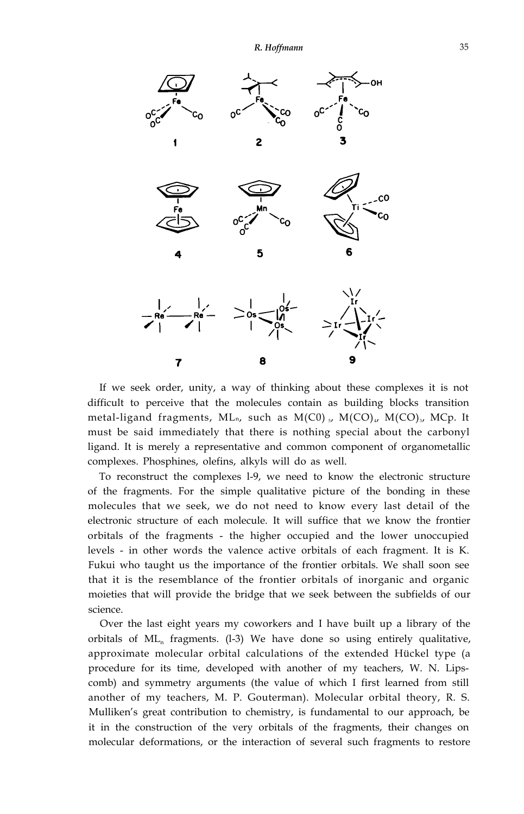

If we seek order, unity, a way of thinking about these complexes it is not difficult to perceive that the molecules contain as building blocks transition metal-ligand fragments, MLn, such as M(C0)  $_5$ , M(CO)  $_4$ , M(CO) $_3$ , MCp. It must be said immediately that there is nothing special about the carbonyl ligand. It is merely a representative and common component of organometallic complexes. Phosphines, olefins, alkyls will do as well.

To reconstruct the complexes l-9, we need to know the electronic structure of the fragments. For the simple qualitative picture of the bonding in these molecules that we seek, we do not need to know every last detail of the electronic structure of each molecule. It will suffice that we know the frontier orbitals of the fragments - the higher occupied and the lower unoccupied levels - in other words the valence active orbitals of each fragment. It is K. Fukui who taught us the importance of the frontier orbitals. We shall soon see that it is the resemblance of the frontier orbitals of inorganic and organic moieties that will provide the bridge that we seek between the subfields of our science.

Over the last eight years my coworkers and I have built up a library of the orbitals of  $ML_n$  fragments. (1-3) We have done so using entirely qualitative, approximate molecular orbital calculations of the extended Hückel type (a procedure for its time, developed with another of my teachers, W. N. Lipscomb) and symmetry arguments (the value of which I first learned from still another of my teachers, M. P. Gouterman). Molecular orbital theory, R. S. Mulliken's great contribution to chemistry, is fundamental to our approach, be it in the construction of the very orbitals of the fragments, their changes on molecular deformations, or the interaction of several such fragments to restore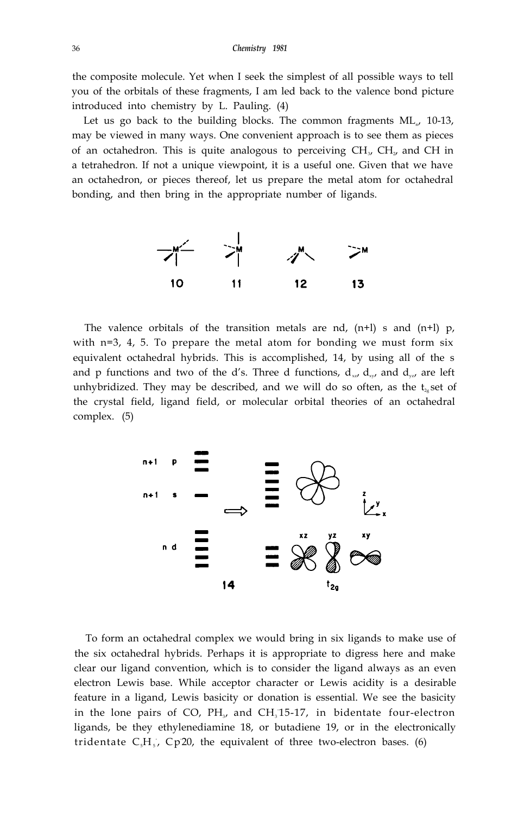the composite molecule. Yet when I seek the simplest of all possible ways to tell you of the orbitals of these fragments, I am led back to the valence bond picture introduced into chemistry by L. Pauling. (4)

Let us go back to the building blocks. The common fragments  $ML_{n}$ , 10-13, may be viewed in many ways. One convenient approach is to see them as pieces of an octahedron. This is quite analogous to perceiving  $CH_{\gamma}CH_{\gamma}$  and CH in a tetrahedron. If not a unique viewpoint, it is a useful one. Given that we have an octahedron, or pieces thereof, let us prepare the metal atom for octahedral bonding, and then bring in the appropriate number of ligands.



The valence orbitals of the transition metals are nd,  $(n+1)$  s and  $(n+1)$  p, with  $n=3$ , 4, 5. To prepare the metal atom for bonding we must form six equivalent octahedral hybrids. This is accomplished, 14, by using all of the s and p functions and two of the d's. Three d functions,  $d_{xx}$ ,  $d_{xy}$ , and  $d_{yz}$ , are left unhybridized. They may be described, and we will do so often, as the  $t_{2g}$  set of the crystal field, ligand field, or molecular orbital theories of an octahedral complex. (5)



To form an octahedral complex we would bring in six ligands to make use of the six octahedral hybrids. Perhaps it is appropriate to digress here and make clear our ligand convention, which is to consider the ligand always as an even electron Lewis base. While acceptor character or Lewis acidity is a desirable feature in a ligand, Lewis basicity or donation is essential. We see the basicity in the lone pairs of CO, PH $_{\tiny 3}$  and CH $_{\tiny 3}$ 15-17, in bidentate four-electron ligands, be they ethylenediamine 18, or butadiene 19, or in the electronically tridentate  $C_{5}H_{5}$ , Cp20, the equivalent of three two-electron bases. (6)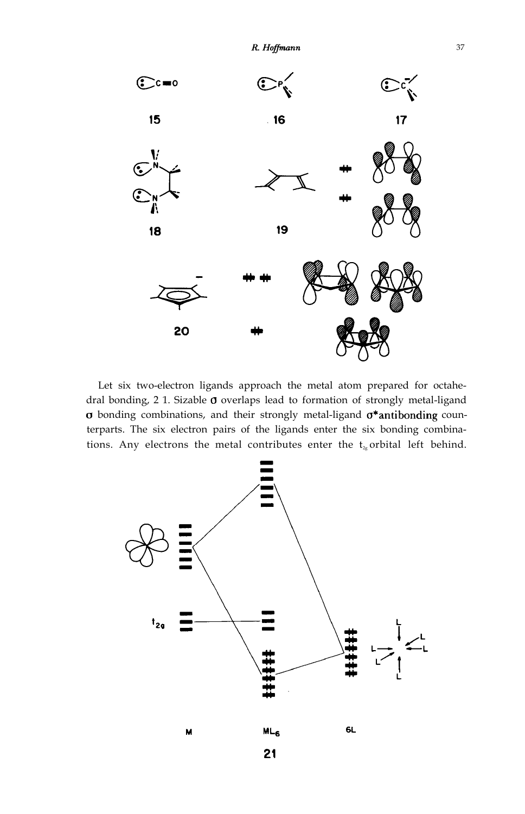

Let six two-electron ligands approach the metal atom prepared for octahedral bonding, 2 1. Sizable  $\sigma$  overlaps lead to formation of strongly metal-ligand  $\sigma$  bonding combinations, and their strongly metal-ligand  $\sigma^*$ antibonding counterparts. The six electron pairs of the ligands enter the six bonding combinations. Any electrons the metal contributes enter the  $t_{2g}$  orbital left behind.

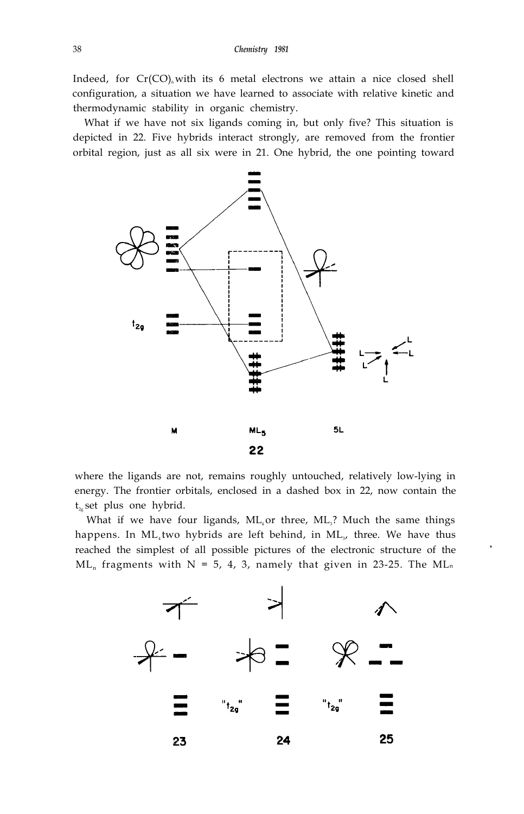Indeed, for  $Cr(CO)_{6}$  with its 6 metal electrons we attain a nice closed shell configuration, a situation we have learned to associate with relative kinetic and thermodynamic stability in organic chemistry.

What if we have not six ligands coming in, but only five? This situation is depicted in 22. Five hybrids interact strongly, are removed from the frontier orbital region, just as all six were in 21. One hybrid, the one pointing toward



where the ligands are not, remains roughly untouched, relatively low-lying in energy. The frontier orbitals, enclosed in a dashed box in 22, now contain the  $t_{2g}$  set plus one hybrid.

What if we have four ligands,  $ML_4$  or three,  $ML_3$ ? Much the same things happens. In  $ML_4$ two hybrids are left behind, in  $ML_3$ , three. We have thus reached the simplest of all possible pictures of the electronic structure of the  $ML_n$  fragments with N = 5, 4, 3, namely that given in 23-25. The MLn

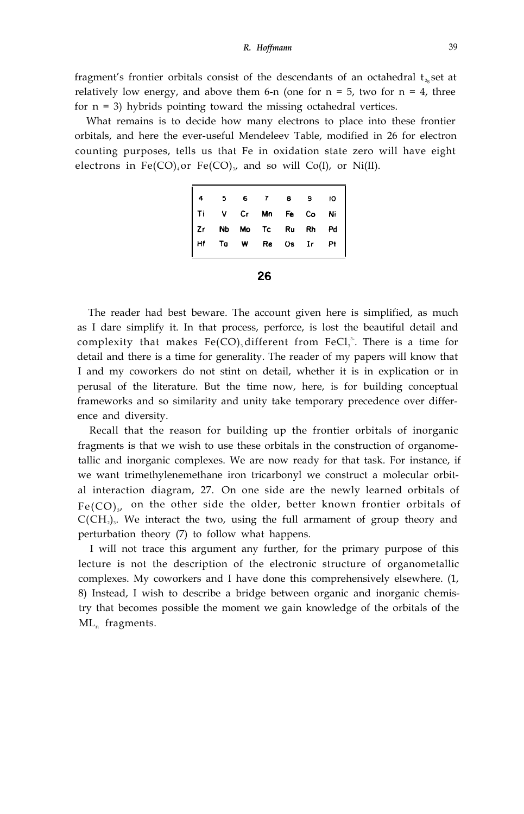fragment's frontier orbitals consist of the descendants of an octahedral  $t<sub>2</sub>$  set at relatively low energy, and above them 6-n (one for  $n = 5$ , two for  $n = 4$ , three for  $n = 3$ ) hybrids pointing toward the missing octahedral vertices.

What remains is to decide how many electrons to place into these frontier orbitals, and here the ever-useful Mendeleev Table, modified in 26 for electron counting purposes, tells us that Fe in oxidation state zero will have eight electrons in  $Fe(CO)_{4}$  or  $Fe(CO)_{3}$ , and so will Co(I), or Ni(II).

|  | 4 5 6 7 8 9 10<br>Ti V Cr Mn Fe Co Ni<br>Zr Nb Mo Tc Ru Rh Pd<br>Hf Ta W Re Os Ir Pt |  |  |
|--|--------------------------------------------------------------------------------------|--|--|
|  |                                                                                      |  |  |
|  |                                                                                      |  |  |
|  |                                                                                      |  |  |
|  |                                                                                      |  |  |

26

The reader had best beware. The account given here is simplified, as much as I dare simplify it. In that process, perforce, is lost the beautiful detail and complexity that makes  $Fe(CO)$ , different from  $FeCl_3^{\,3}$ . There is a time for detail and there is a time for generality. The reader of my papers will know that I and my coworkers do not stint on detail, whether it is in explication or in perusal of the literature. But the time now, here, is for building conceptual frameworks and so similarity and unity take temporary precedence over difference and diversity.

Recall that the reason for building up the frontier orbitals of inorganic fragments is that we wish to use these orbitals in the construction of organometallic and inorganic complexes. We are now ready for that task. For instance, if we want trimethylenemethane iron tricarbonyl we construct a molecular orbital interaction diagram, 27. On one side are the newly learned orbitals of  $Fe(CO)$ <sub>3</sub>, on the other side the older, better known frontier orbitals of  $C(CH<sub>2</sub>)$ . We interact the two, using the full armament of group theory and perturbation theory (7) to follow what happens.

I will not trace this argument any further, for the primary purpose of this lecture is not the description of the electronic structure of organometallic complexes. My coworkers and I have done this comprehensively elsewhere. (1, 8) Instead, I wish to describe a bridge between organic and inorganic chemistry that becomes possible the moment we gain knowledge of the orbitals of the ML<sub>n</sub> fragments.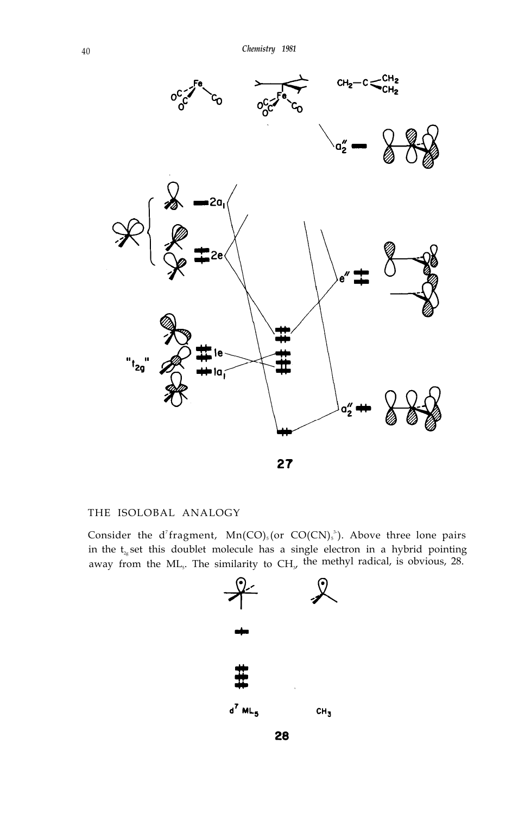

### THE ISOLOBAL ANALOGY

Consider the d'fragment,  $Mn(CO)_{5}$  (or  $CO(CN)_{5}^{3}$ ). Above three lone pairs in the  $t_{2g}$  set this doublet molecule has a single electron in a hybrid pointing away from the ML<sub>5</sub>. The similarity to  $CH_{3}$ , the methyl radical, is obvious, 28.



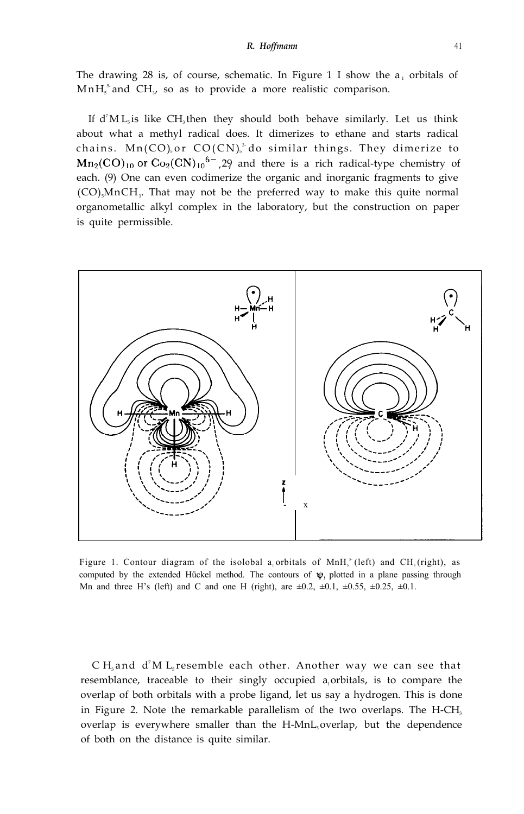The drawing 28 is, of course, schematic. In Figure 1 I show the  $a_1$  orbitals of  $MnH<sub>s</sub>$  and CH<sub>3</sub>, so as to provide a more realistic comparison.

If  $d^7 M L_5$  is like CH<sub>3</sub> then they should both behave similarly. Let us think about what a methyl radical does. It dimerizes to ethane and starts radical chains.  $\text{Mn}(\text{CO})_{\text{s}}$ or  $\text{CO}(\text{CN})_{\text{s}}^{3}$ do similar things. They dimerize to  $Mn_2(CO)_{10}$  or  $Co_2(CN)_{10}$ <sup>6-</sup>, 29 and there is a rich radical-type chemistry of each. (9) One can even codimerize the organic and inorganic fragments to give  $(CO)$ <sub>3</sub>MnCH<sub>3</sub>. That may not be the preferred way to make this quite normal organometallic alkyl complex in the laboratory, but the construction on paper is quite permissible.



Figure 1. Contour diagram of the isolobal a<sub>1</sub> orbitals of MnH<sub>5</sub><sup>5</sup> (left) and CH<sub>3</sub> (right), as computed by the extended Hückel method. The contours of  $\psi$ , plotted in a plane passing through Mn and three H's (left) and C and one H (right), are  $\pm 0.2$ ,  $\pm 0.1$ ,  $\pm 0.55$ ,  $\pm 0.25$ ,  $\pm 0.1$ .

C H<sub>3</sub> and  $d^7M$  L<sub>5</sub> resemble each other. Another way we can see that resemblance, traceable to their singly occupied a orbitals, is to compare the overlap of both orbitals with a probe ligand, let us say a hydrogen. This is done in Figure 2. Note the remarkable parallelism of the two overlaps. The  $H-CH<sub>3</sub>$ overlap is everywhere smaller than the H-MnL<sub>5</sub> overlap, but the dependence of both on the distance is quite similar.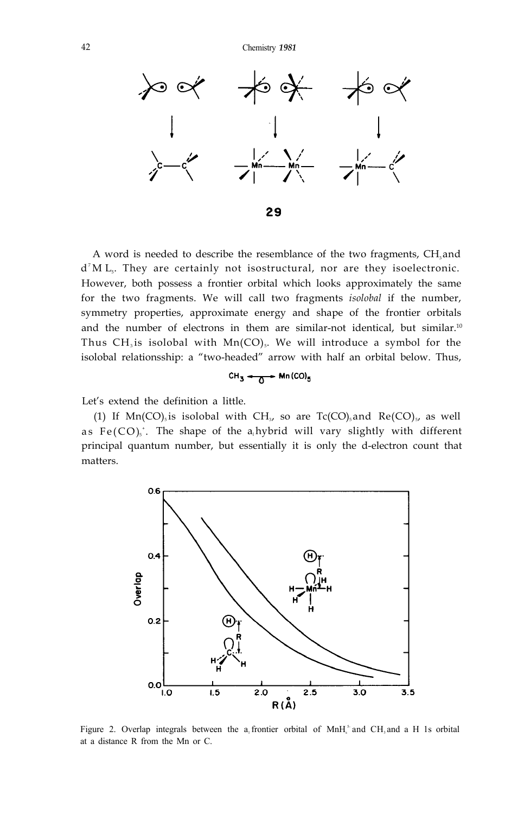42 Chemistry *1981*



A word is needed to describe the resemblance of the two fragments, CH<sub>3</sub> and  $d^7M L_5$ . They are certainly not isostructural, nor are they isoelectronic. However, both possess a frontier orbital which looks approximately the same for the two fragments. We will call two fragments *isolobal* if the number, symmetry properties, approximate energy and shape of the frontier orbitals and the number of electrons in them are similar-not identical, but similar.10 Thus  $CH<sub>3</sub>$  is isolobal with  $Mn(CO)$ <sub>5</sub>. We will introduce a symbol for the isolobal relationsship: a "two-headed" arrow with half an orbital below. Thus,

$$
CH_3 \leftarrow \overline{O} \leftarrow \text{Mn(CO)}_5
$$

Let's extend the definition a little.

(1) If  $Mn(CO)$ <sub>5</sub> is isolobal with  $CH_{3}$ , so are Tc(CO)<sub>5</sub> and Re(CO)<sub>5</sub>, as well as Fe $({\rm CO})$ , The shape of the a hybrid will vary slightly with different principal quantum number, but essentially it is only the d-electron count that matters.



Figure 2. Overlap integrals between the  $a_1$  frontier orbital of MnH<sub>s</sub><sup>5</sup> and CH<sub>3</sub> and a H 1s orbital at a distance R from the Mn or C.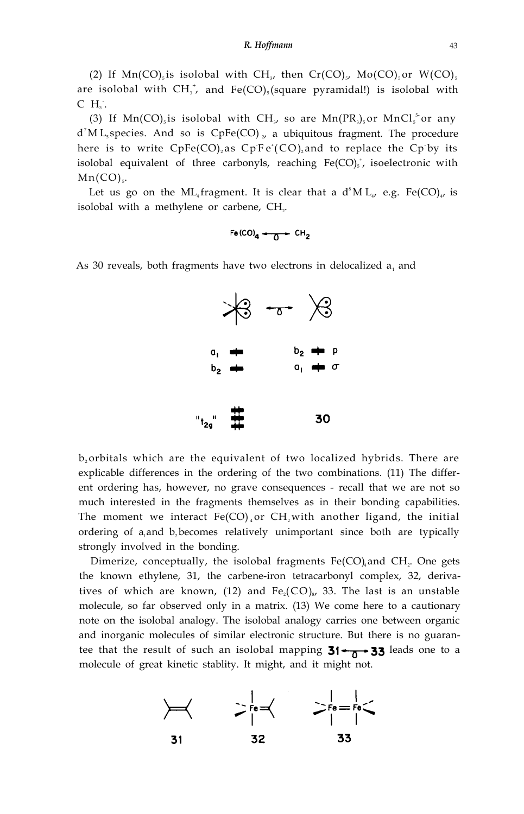(2) If  $Mn(CO)$ <sub>5</sub> is isolobal with  $CH_{3}$ , then  $Cr(CO)_{5}$ ,  $Mo(CO)_{5}$  or  $W(CO)_{5}$ are isolobal with  $CH^+_3$ , and Fe(CO), (square pyramidal!) is isolobal with  $C$   $H_3$ .

(3) If  $Mn(CO)$ <sub>5</sub> is isolobal with CH<sub>3</sub>, so are  $Mn(PR_3)$ <sub>5</sub> or  $MnCl_5^{5}$  or any  $d^7M$  L<sub>5</sub> species. And so is CpFe(CO), a ubiquitous fragment. The procedure here is to write  $CpFe(CO)_{2}$ as  $CpFe(CO)_{2}$ and to replace the  $Cp$  by its isolobal equivalent of three carbonyls, reaching  $Fe(CO)_5$ ; isoelectronic with  $Mn(CO)$ <sub>5</sub>.

Let us go on the ML<sub>4</sub> fragment. It is clear that a  $d^*M L_{\nu}$  e.g. Fe(CO)<sub>v</sub>, is isolobal with a methylene or carbene,  $CH<sub>2</sub>$ .

 $Fe(CO)<sub>4</sub> \rightarrow CH<sub>2</sub>$ 

As 30 reveals, both fragments have two electrons in delocalized  $a_1$  and



b, orbitals which are the equivalent of two localized hybrids. There are explicable differences in the ordering of the two combinations. (11) The different ordering has, however, no grave consequences - recall that we are not so much interested in the fragments themselves as in their bonding capabilities. The moment we interact  $Fe(CO)_{4}$  or CH, with another ligand, the initial ordering of  $a_1$  and  $b_2$  becomes relatively unimportant since both are typically strongly involved in the bonding.

Dimerize, conceptually, the isolobal fragments  $Fe(CO)$  and  $CH<sub>2</sub>$ . One gets the known ethylene, 31, the carbene-iron tetracarbonyl complex, 32, derivatives of which are known, (12) and  $Fe_2(CO)_{8}$ , 33. The last is an unstable molecule, so far observed only in a matrix. (13) We come here to a cautionary note on the isolobal analogy. The isolobal analogy carries one between organic and inorganic molecules of similar electronic structure. But there is no guarantee that the result of such an isolobal mapping  $3! \rightarrow 33$  leads one to a molecule of great kinetic stablity. It might, and it might not.

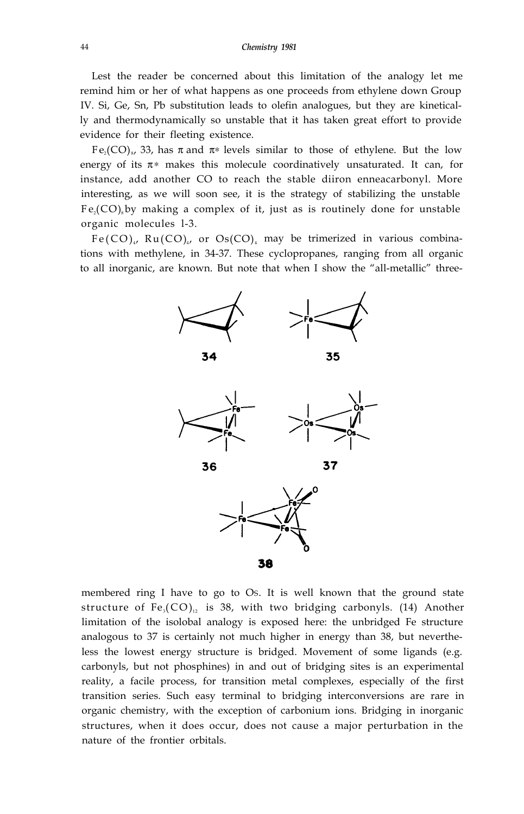Lest the reader be concerned about this limitation of the analogy let me remind him or her of what happens as one proceeds from ethylene down Group IV. Si, Ge, Sn, Pb substitution leads to olefin analogues, but they are kinetically and thermodynamically so unstable that it has taken great effort to provide evidence for their fleeting existence.

Fe<sub>2</sub>(CO)<sub>s</sub>, 33, has  $\pi$  and  $\pi$ <sup>\*</sup> levels similar to those of ethylene. But the low energy of its  $\pi$ \* makes this molecule coordinatively unsaturated. It can, for instance, add another CO to reach the stable diiron enneacarbonyl. More interesting, as we will soon see, it is the strategy of stabilizing the unstable  $Fe<sub>2</sub>(CO)<sub>8</sub>$  by making a complex of it, just as is routinely done for unstable organic molecules l-3.

 $Fe(CO)<sub>4</sub>$ ,  $Ru(CO)<sub>4</sub>$  or  $Os(CO)<sub>4</sub>$  may be trimerized in various combinations with methylene, in 34-37. These cyclopropanes, ranging from all organic to all inorganic, are known. But note that when I show the "all-metallic" three-



membered ring I have to go to OS. It is well known that the ground state structure of  $Fe_3(CO)_{12}$  is 38, with two bridging carbonyls. (14) Another limitation of the isolobal analogy is exposed here: the unbridged Fe structure analogous to 37 is certainly not much higher in energy than 38, but nevertheless the lowest energy structure is bridged. Movement of some ligands (e.g. carbonyls, but not phosphines) in and out of bridging sites is an experimental reality, a facile process, for transition metal complexes, especially of the first transition series. Such easy terminal to bridging interconversions are rare in organic chemistry, with the exception of carbonium ions. Bridging in inorganic structures, when it does occur, does not cause a major perturbation in the nature of the frontier orbitals.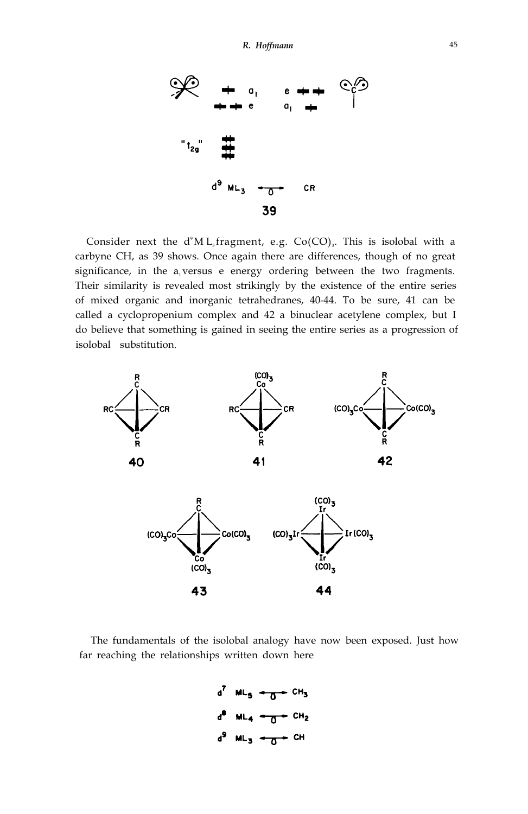

Consider next the  $d^{\circ}M L_{3}$  fragment, e.g. Co(CO)<sub>3</sub>. This is isolobal with a carbyne CH, as 39 shows. Once again there are differences, though of no great significance, in the  $a_1$  versus e energy ordering between the two fragments. Their similarity is revealed most strikingly by the existence of the entire series of mixed organic and inorganic tetrahedranes, 40-44. To be sure, 41 can be called a cyclopropenium complex and 42 a binuclear acetylene complex, but I do believe that something is gained in seeing the entire series as a progression of isolobal substitution.



The fundamentals of the isolobal analogy have now been exposed. Just how far reaching the relationships written down here

$$
d^7 \text{ ML}_5 \div \frac{}{0} \div \text{CH}_3
$$
\n
$$
d^8 \text{ ML}_4 \div \frac{}{0} \div \text{CH}_2
$$
\n
$$
d^9 \text{ ML}_3 \div \frac{}{0} \div \text{CH}
$$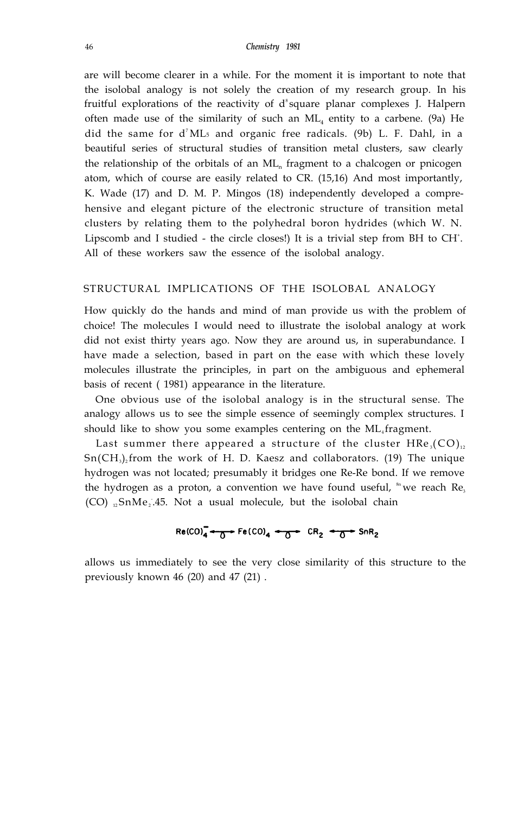are will become clearer in a while. For the moment it is important to note that the isolobal analogy is not solely the creation of my research group. In his fruitful explorations of the reactivity of  $d^s$  square planar complexes J. Halpern often made use of the similarity of such an  $ML_4$  entity to a carbene. (9a) He did the same for  $d^7ML_5$  and organic free radicals. (9b) L. F. Dahl, in a beautiful series of structural studies of transition metal clusters, saw clearly the relationship of the orbitals of an  $ML<sub>n</sub>$  fragment to a chalcogen or pnicogen atom, which of course are easily related to CR. (15,16) And most importantly, K. Wade (17) and D. M. P. Mingos (18) independently developed a comprehensive and elegant picture of the electronic structure of transition metal clusters by relating them to the polyhedral boron hydrides (which W. N. Lipscomb and I studied - the circle closes!) It is a trivial step from BH to CH<sup>+</sup>. All of these workers saw the essence of the isolobal analogy.

#### STRUCTURAL IMPLICATIONS OF THE ISOLOBAL ANALOGY

How quickly do the hands and mind of man provide us with the problem of choice! The molecules I would need to illustrate the isolobal analogy at work did not exist thirty years ago. Now they are around us, in superabundance. I have made a selection, based in part on the ease with which these lovely molecules illustrate the principles, in part on the ambiguous and ephemeral basis of recent ( 1981) appearance in the literature.

One obvious use of the isolobal analogy is in the structural sense. The analogy allows us to see the simple essence of seemingly complex structures. I should like to show you some examples centering on the ML<sub>4</sub> fragment.

Last summer there appeared a structure of the cluster  $HRe<sub>3</sub>(CO)<sub>12</sub>$  $Sn(CH<sub>3</sub>)<sub>2</sub>$  from the work of H. D. Kaesz and collaborators. (19) The unique hydrogen was not located; presumably it bridges one Re-Re bond. If we remove the hydrogen as a proton, a convention we have found useful,  ${}^{\text{an}}$  we reach Re<sub>3</sub> (CO)  $_{12}$ SnMe<sub>2</sub>.45. Not a usual molecule, but the isolobal chain

# $Re(CO)<sub>4</sub><sup>-</sup> + Fe(CO)<sub>4</sub> + C<sub>1</sub><sup>-</sup> CR<sub>2</sub> + C<sub>1</sub><sup>-</sup> SnR<sub>2</sub>$

allows us immediately to see the very close similarity of this structure to the previously known 46 (20) and 47 (21) .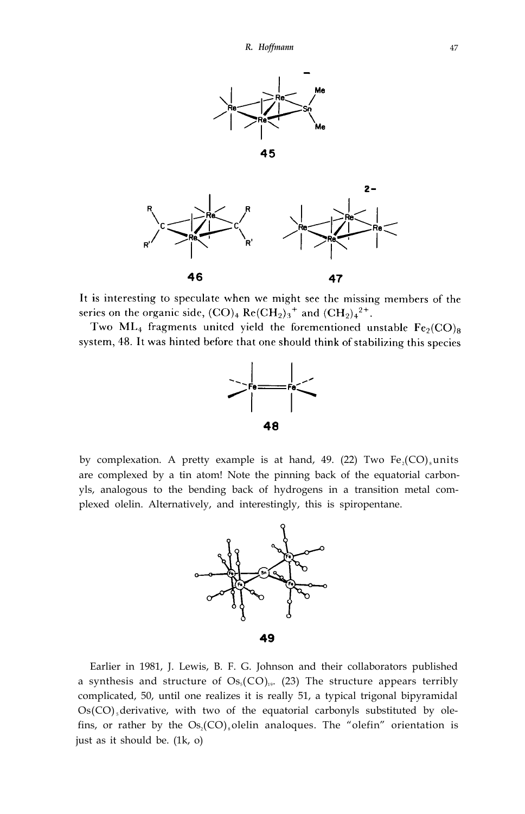

It is interesting to speculate when we might see the missing members of the series on the organic side,  $(CO)_4$   $Re(CH_2)_3^+$  and  $(CH_2)_4^2^+$ .

Two ML<sub>4</sub> fragments united yield the forementioned unstable  $Fe<sub>2</sub>(CO)<sub>8</sub>$ system, 48. It was hinted before that one should think of stabilizing this species



by complexation. A pretty example is at hand, 49. (22) Two  $Fe_2(CO)$  units are complexed by a tin atom! Note the pinning back of the equatorial carbonyls, analogous to the bending back of hydrogens in a transition metal complexed olelin. Alternatively, and interestingly, this is spiropentane.



Earlier in 1981, J. Lewis, B. F. G. Johnson and their collaborators published a synthesis and structure of  $Os<sub>s</sub>(CO)<sub>19</sub>$ . (23) The structure appears terribly complicated, 50, until one realizes it is really 51, a typical trigonal bipyramidal  $Os(CO)$ , derivative, with two of the equatorial carbonyls substituted by olefins, or rather by the  $Os_{s}(CO)_{s}$  olelin analoques. The "olefin" orientation is just as it should be. (1k, o)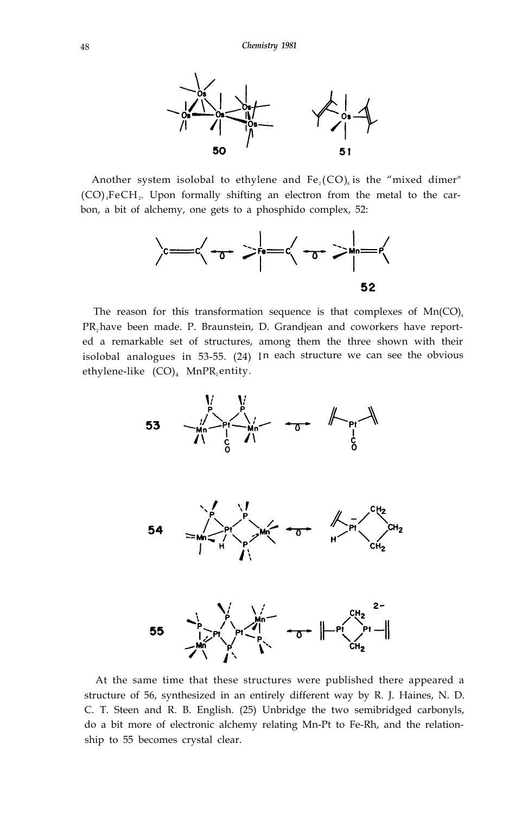

Another system isolobal to ethylene and  $Fe<sub>2</sub>(CO)<sub>8</sub>$  is the "mixed dimer"  $(CO)$ <sub>4</sub>FeCH<sub>2</sub>. Upon formally shifting an electron from the metal to the carbon, a bit of alchemy, one gets to a phosphido complex, 52:



The reason for this transformation sequence is that complexes of  $Mn(CO)<sub>4</sub>$ PR, have been made. P. Braunstein, D. Grandjean and coworkers have reported a remarkable set of structures, among them the three shown with their isolobal analogues in  $53-55$ . (24) In each structure we can see the obvious ethylene-like  $(CO)<sub>4</sub>$  MnPR, entity.



At the same time that these structures were published there appeared a structure of 56, synthesized in an entirely different way by R. J. Haines, N. D. C. T. Steen and R. B. English. (25) Unbridge the two semibridged carbonyls, do a bit more of electronic alchemy relating Mn-Pt to Fe-Rh, and the relationship to 55 becomes crystal clear.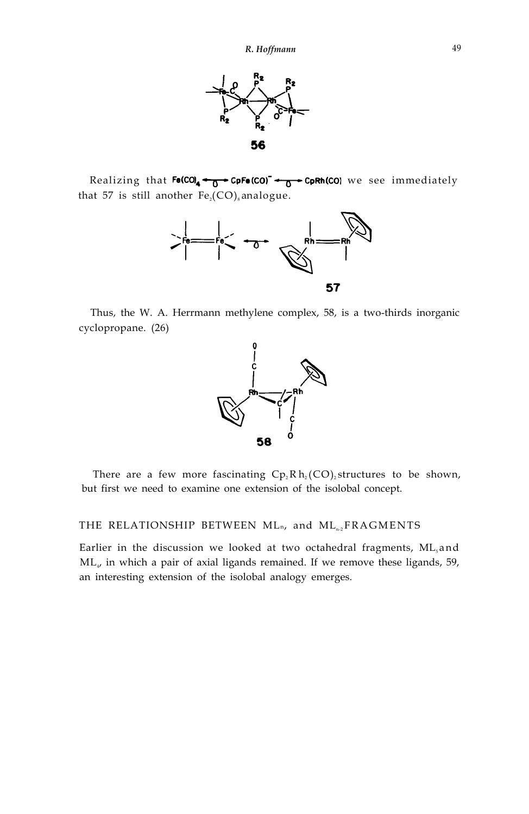

Realizing that  $Fe(CO)_4 \rightarrow GeFe(CO) \rightarrow \bullet \text{C}$   $ph(CO)$  we see immediately that 57 is still another  $Fe<sub>2</sub>(CO)<sub>8</sub>$  analogue.



Thus, the W. A. Herrmann methylene complex, 58, is a two-thirds inorganic cyclopropane. (26)



There are a few more fascinating  $Cp_2 R h_2 (CO)$ <sub>2</sub> structures to be shown, but first we need to examine one extension of the isolobal concept.

THE RELATIONSHIP BETWEEN MLn, and ML<sub>n2</sub>FRAGMENTS

Earlier in the discussion we looked at two octahedral fragments, ML<sub>5</sub> and  $ML_{\nu}$  in which a pair of axial ligands remained. If we remove these ligands, 59, an interesting extension of the isolobal analogy emerges.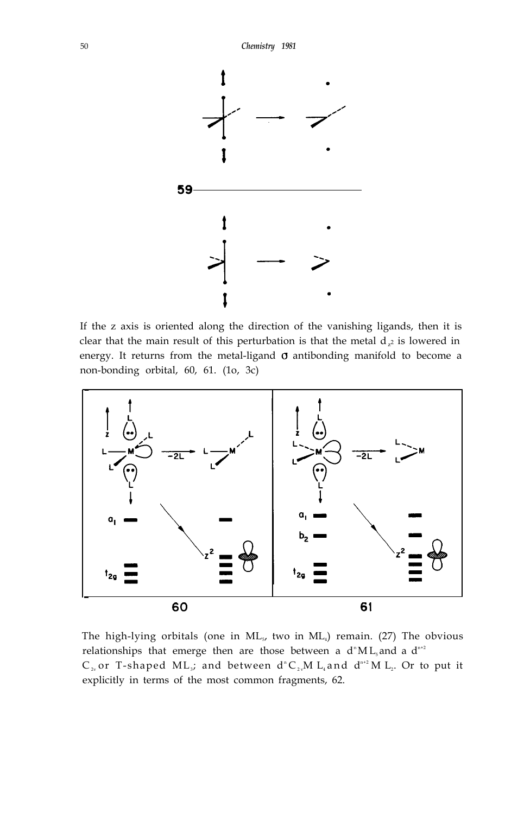

If the z axis is oriented along the direction of the vanishing ligands, then it is clear that the main result of this perturbation is that the metal  $d_{z^2}$  is lowered in energy. It returns from the metal-ligand  $\sigma$  antibonding manifold to become a non-bonding orbital, 60, 61. (1o, 3c)



The high-lying orbitals (one in  $ML_{5}$ , two in  $ML_{4}$ ) remain. (27) The obvious relationships that emerge then are those between a  $d^*ML_5$  and a  $d^{n+2}$  $C_{2v}$  or T-shaped ML<sub>3</sub>; and between  $d^nC_{2v}M$  L<sub>4</sub> and  $d^{n+2}M$  L<sub>2</sub>. Or to put it explicitly in terms of the most common fragments, 62.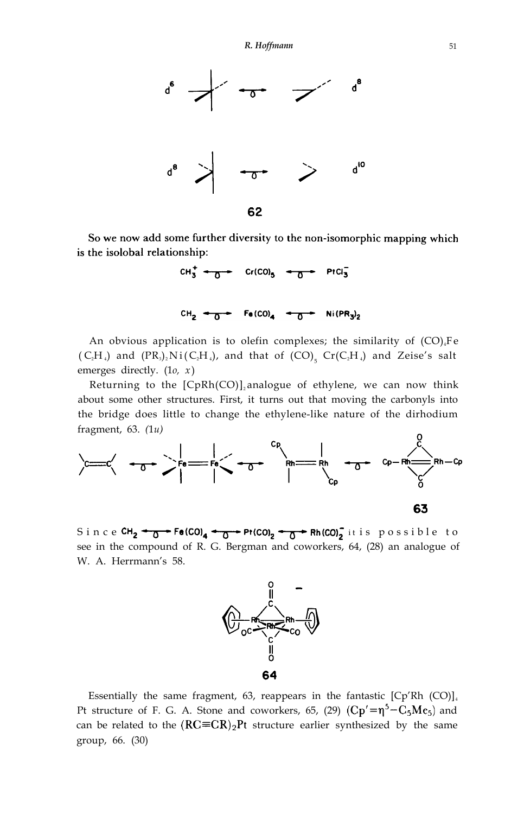

So we now add some further diversity to the non-isomorphic mapping which is the isolobal relationship:

 $CH_3^+$  +  $\pi$  + Cr(CO)<sub>5</sub> +  $\pi$  + PtCl<sub>3</sub>

### CH<sub>2</sub>  $\rightarrow \frac{}{0}$  Fe(CO)<sub>4</sub>  $\rightarrow \frac{}{0}$  Ni(PR<sub>3</sub>)<sub>2</sub>

An obvious application is to olefin complexes; the similarity of  $(CO)$ <sub>4</sub>Fe  $(C_2H_4)$  and  $(PR_3)_2Ni(C_2H_4)$ , and that of  $(CO)_5$   $Cr(C_2H_4)$  and Zeise's salt emerges directly. (1*o, x*)

Returning to the  $[ChRh(CO)]$ , analogue of ethylene, we can now think about some other structures. First, it turns out that moving the carbonyls into the bridge does little to change the ethylene-like nature of the dirhodium fragment, 63. *(*1*u)*



Since  $CH_2$  +  $\frac{1}{0}$  +  $Fe(CO)_4$  +  $\frac{1}{0}$  + Pt(CO)<sub>2</sub> +  $\frac{1}{0}$  + Rh(CO)<sub>2</sub> it is possible to see in the compound of R. G. Bergman and coworkers, 64, (28) an analogue of W. A. Herrmann's 58.



Essentially the same fragment, 63, reappears in the fantastic  $[Cp'Rh (CO)]$ . Pt structure of F. G. A. Stone and coworkers, 65, (29)  $(Cp' = \eta^5 - C_5Me_5)$  and can be related to the  $(RC\equiv CR)_{2}$ Pt structure earlier synthesized by the same group, 66. (30)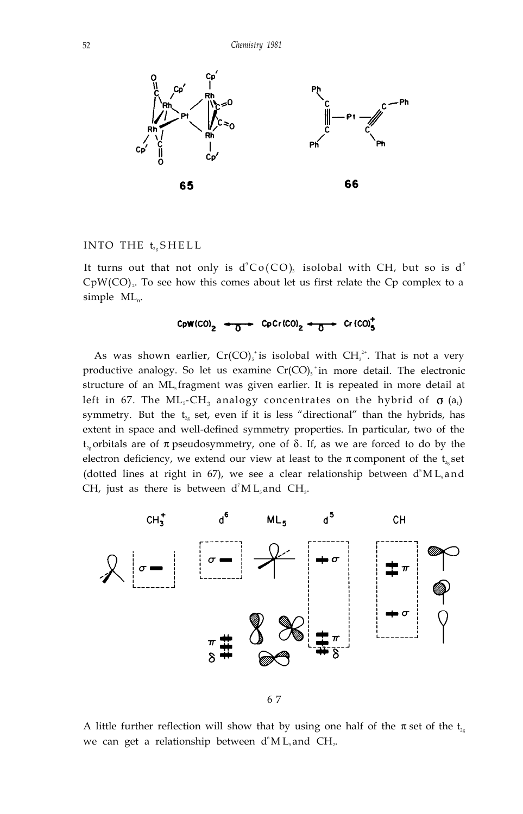

INTO THE t<sub>2g</sub> SHELL

It turns out that not only is  $d^{\circ}Co(CO)$ , isolobal with CH, but so is  $d^{\circ}$  $CpW(CO)$ . To see how this comes about let us first relate the  $Cp$  complex to a simple  $ML_n$ .

## CpW(CO)<sub>2</sub>  $\rightarrow \pi$  CpCr(CO)<sub>2</sub>  $\rightarrow \pi$  Cr(CO)<sub>3</sub>

As was shown earlier,  $Cr(CO)_5^*$  is isolobal with  $CH_3^{2*}$ . That is not a very productive analogy. So let us examine  $Cr(CO)_5$  in more detail. The electronic structure of an ML<sub>5</sub> fragment was given earlier. It is repeated in more detail at left in 67. The ML<sub>5</sub>-CH<sub>3</sub> analogy concentrates on the hybrid of  $\sigma$  (a<sub>1</sub>) symmetry. But the  $t_{2g}$  set, even if it is less "directional" than the hybrids, has extent in space and well-defined symmetry properties. In particular, two of the t<sub>z</sub> orbitals are of π pseudosymmetry, one of δ. If, as we are forced to do by the electron deficiency, we extend our view at least to the  $\pi$  component of the t<sub>x</sub> set (dotted lines at right in 67), we see a clear relationship between  $d^5ML_5$  and CH, just as there is between  $d^7 M L_5$  and CH<sub>3</sub>.



6 7

A little further reflection will show that by using one half of the  $\pi$  set of the t<sub>2g</sub> we can get a relationship between  $d^6ML_5$  and  $CH_2$ .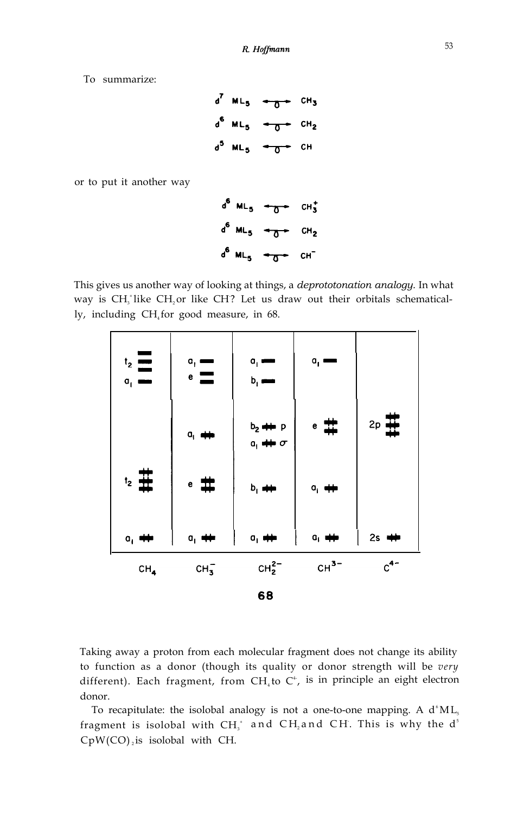To summarize:

|  | $d$ ML <sub>5</sub> $\rightarrow$ $d$ CH <sub>3</sub>             |  |
|--|-------------------------------------------------------------------|--|
|  | $d^6$ ML <sub>5</sub> $\rightarrow$ $\rightarrow$ CH <sub>2</sub> |  |
|  | $d^5$ ML <sub>5</sub> $\rightarrow$ $\rightarrow$ CH              |  |

or to put it another way

 $d^6$  ML<sub>5</sub>  $\rightarrow$  CH<sub>3</sub>  $d^6$  ML<sub>5</sub>  $\rightarrow$   $\rightarrow$  CH<sub>2</sub>  $d^6$  ML<sub>5</sub>  $\rightarrow$   $\sigma$   $\rightarrow$  CH<sup>-</sup>

This gives us another way of looking at things, a *deprototonation analogy.* In what way is CH<sub>3</sub>'like CH<sub>2</sub>or like CH? Let us draw out their orbitals schematically, including CH<sub>4</sub> for good measure, in 68.

| $t_{2}$<br>$\overline{\phantom{a}}$<br>$\mathfrak{a}_1$<br>فتنطل | $\mathbf{a}_1$<br>e   | a,<br>$p^{\dagger}$                                  | $\mathbf{a}_{\mathbf{I}}$         |                      |
|------------------------------------------------------------------|-----------------------|------------------------------------------------------|-----------------------------------|----------------------|
|                                                                  | $\mathbf{q}_1$        | b <sub>2</sub> = ‡ p<br>$a_i \leftrightarrow \sigma$ | $\cdot$ $\frac{\pi}{4}$           | $2p \nightharpoonup$ |
| '≥ 畫                                                             | ◦⋢                    | $b_1 \neq b$                                         | $\mathfrak{a}_1$ $\Rightarrow$    |                      |
| $\mathfrak{o}_{\mathfrak{l}}$ and $\mathfrak{m}$                 | $a_1 \leftrightarrow$ | a, <del>a‡</del> e                                   | $\mathbf{q}_1$ and $\mathbf{q}_2$ | $2s$ $\Rightarrow$   |
| CH <sub>4</sub>                                                  | $CH_3^-$              | CH <sub>2</sub> <sup>2</sup>                         | $CH3-$                            | $c^{4}$              |
|                                                                  |                       | 68                                                   |                                   |                      |

Taking away a proton from each molecular fragment does not change its ability to function as a donor (though its quality or donor strength will be *very* different). Each fragment, from CH $_{\textrm{\tiny{4}}}$ to C $^{\textrm{\tiny{4}}}$ , is in principle an eight electron donor.

To recapitulate: the isolobal analogy is not a one-to-one mapping. A  $d^*ML$ , fragment is isolobal with  $\mathrm{CH}_3^+$  and  $\mathrm{CH}_2$ and  $\mathrm{CH}_1$ . This is why the  $\mathrm{d}^5$  $CpW(CO)$ <sub>2</sub> is isolobal with CH.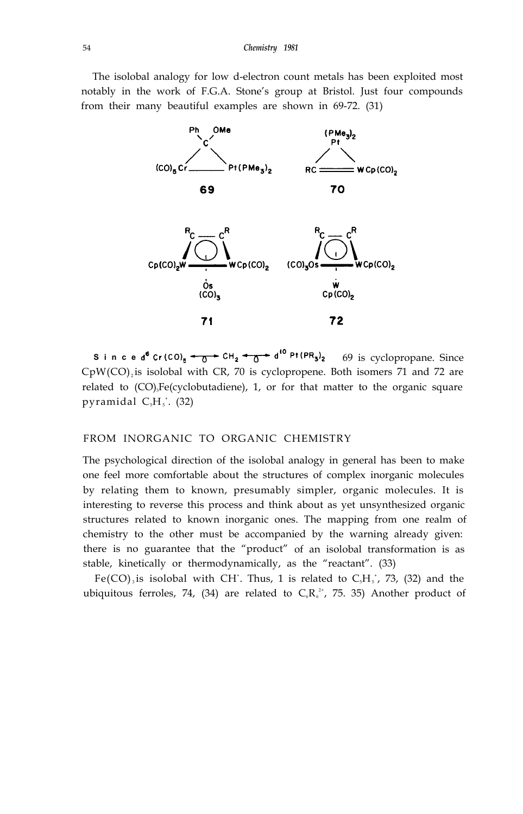The isolobal analogy for low d-electron count metals has been exploited most notably in the work of F.G.A. Stone's group at Bristol. Just four compounds from their many beautiful examples are shown in 69-72. (31)



**S** i n c e  $d^6$  Cr(CO)<sub>5</sub>  $+\frac{1}{0}$  CH<sub>2</sub>  $+\frac{1}{0}$  d<sup>10</sup> Pt(PR<sub>3</sub>)<sub>2</sub> 69 is cyclopropane. Since  $CpW(CO)$ , is isolobal with CR, 70 is cyclopropene. Both isomers 71 and 72 are related to  $(CO)$ <sub>3</sub>Fe(cyclobutadiene), 1, or for that matter to the organic square pyramidal C<sub>5</sub>H<sub>5</sub><sup>+</sup>. (32)

#### FROM INORGANIC TO ORGANIC CHEMISTRY

The psychological direction of the isolobal analogy in general has been to make one feel more comfortable about the structures of complex inorganic molecules by relating them to known, presumably simpler, organic molecules. It is interesting to reverse this process and think about as yet unsynthesized organic structures related to known inorganic ones. The mapping from one realm of chemistry to the other must be accompanied by the warning already given: there is no guarantee that the "product" of an isolobal transformation is as stable, kinetically or thermodynamically, as the "reactant". (33)

 $Fe(CO)_{3}$  is isolobal with CH<sup>+</sup>. Thus, 1 is related to C<sub>5</sub>H<sub>5</sub><sup>+</sup>, 73, (32) and the ubiquitous ferroles, 74, (34) are related to  $C_6R_6^{24}$ , 75. 35) Another product of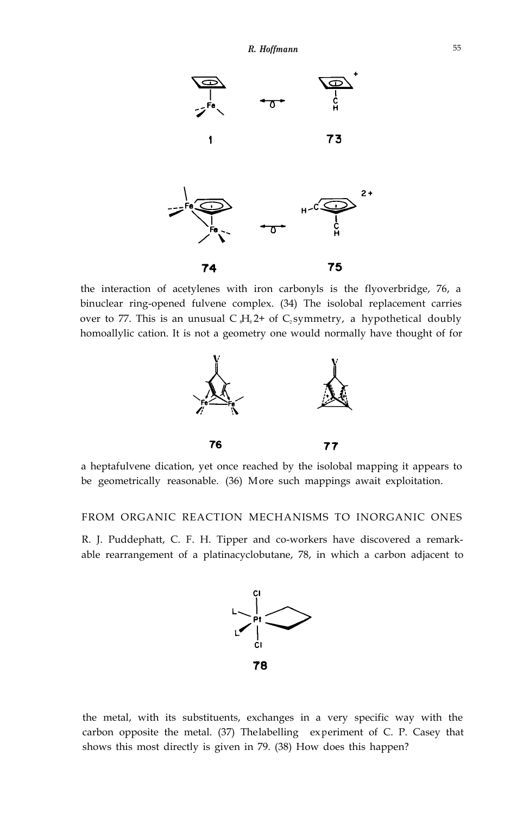

the interaction of acetylenes with iron carbonyls is the flyoverbridge, 76, a binuclear ring-opened fulvene complex. (34) The isolobal replacement carries over to 77. This is an unusual  $C_{s}H_{s}2+$  of  $C_{2}$ symmetry, a hypothetical doubly homoallylic cation. It is not a geometry one would normally have thought of for



a heptafulvene dication, yet once reached by the isolobal mapping it appears to be geometrically reasonable. (36) More such mappings await exploitation.

FROM ORGANIC REACTION MECHANISMS TO INORGANIC ONES

R. J. Puddephatt, C. F. H. Tipper and co-workers have discovered a remarkable rearrangement of a platinacyclobutane, 78, in which a carbon adjacent to



the metal, with its substituents, exchanges in a very specific way with the carbon opposite the metal. (37) Thelabelling experiment of C. P. Casey that shows this most directly is given in 79. (38) How does this happen?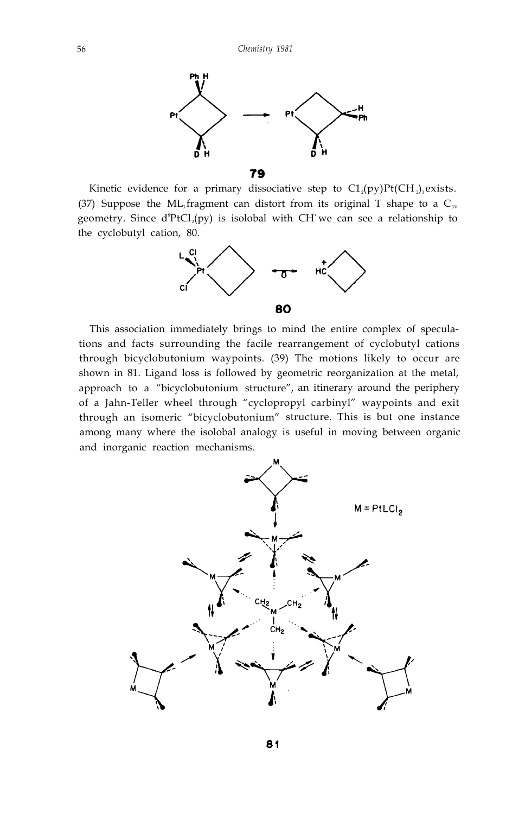

Kinetic evidence for a primary dissociative step to  $C1(py)Pt(CH)$ , exists. (37) Suppose the ML<sub>3</sub> fragment can distort from its original T shape to a  $C_{3V}$ geometry. Since d<sup>8</sup>PtCl<sub>2</sub>(py) is isolobal with CH<sup>+</sup> we can see a relationship to the cyclobutyl cation, 80.



This association immediately brings to mind the entire complex of speculations and facts surrounding the facile rearrangement of cyclobutyl cations through bicyclobutonium waypoints. (39) The motions likely to occur are shown in 81. Ligand loss is followed by geometric reorganization at the metal, approach to a "bicyclobutonium structure", an itinerary around the periphery of a Jahn-Teller wheel through "cyclopropyl carbinyl" waypoints and exit through an isomeric "bicyclobutonium" structure. This is but one instance among many where the isolobal analogy is useful in moving between organic and inorganic reaction mechanisms.

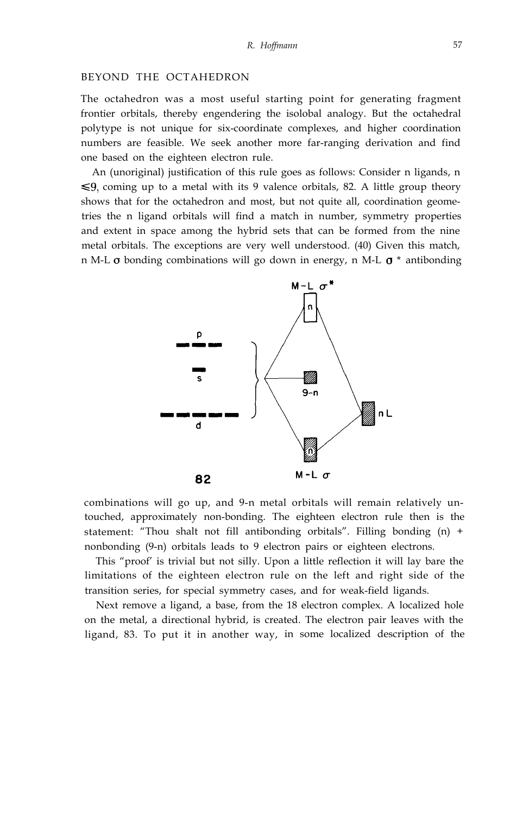#### BEYOND THE OCTAHEDRON

The octahedron was a most useful starting point for generating fragment frontier orbitals, thereby engendering the isolobal analogy. But the octahedral polytype is not unique for six-coordinate complexes, and higher coordination numbers are feasible. We seek another more far-ranging derivation and find one based on the eighteen electron rule.

An (unoriginal) justification of this rule goes as follows: Consider n ligands, n  $\leq$ 9, coming up to a metal with its 9 valence orbitals, 82. A little group theory shows that for the octahedron and most, but not quite all, coordination geometries the n ligand orbitals will find a match in number, symmetry properties and extent in space among the hybrid sets that can be formed from the nine metal orbitals. The exceptions are very well understood. (40) Given this match, n M-L  $\sigma$  bonding combinations will go down in energy, n M-L  $\sigma$   $*$  antibonding



combinations will go up, and 9-n metal orbitals will remain relatively untouched, approximately non-bonding. The eighteen electron rule then is the statement: "Thou shalt not fill antibonding orbitals". Filling bonding (n) + nonbonding (9-n) orbitals leads to 9 electron pairs or eighteen electrons.

This "proof' is trivial but not silly. Upon a little reflection it will lay bare the limitations of the eighteen electron rule on the left and right side of the transition series, for special symmetry cases, and for weak-field ligands.

Next remove a ligand, a base, from the 18 electron complex. A localized hole on the metal, a directional hybrid, is created. The electron pair leaves with the ligand, 83. To put it in another way, in some localized description of the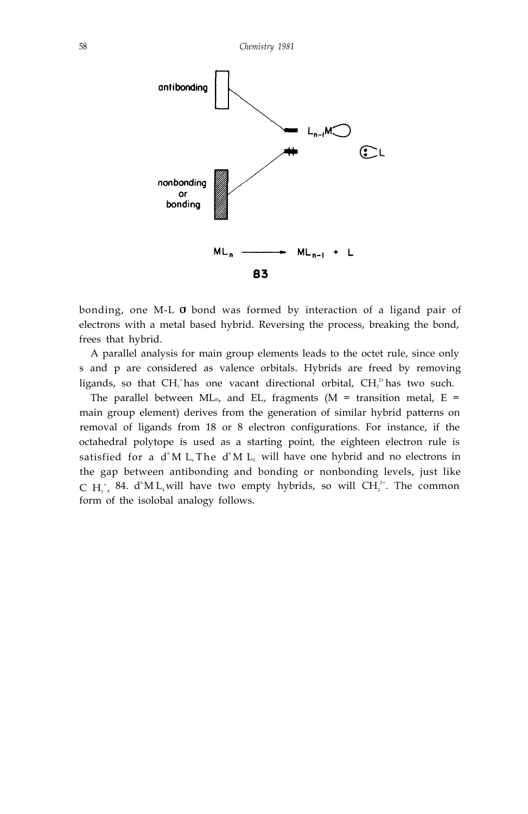

bonding, one M-L  $\sigma$  bond was formed by interaction of a ligand pair of electrons with a metal based hybrid. Reversing the process, breaking the bond, frees that hybrid.

A parallel analysis for main group elements leads to the octet rule, since only s and p are considered as valence orbitals. Hybrids are freed by removing ligands, so that CH<sub>3</sub> has one vacant directional orbital, CH<sub>2</sub><sup>2</sup> has two such.

The parallel between ML<sub>n</sub>, and EL, fragments ( $M =$  transition metal,  $E =$ main group element) derives from the generation of similar hybrid patterns on removal of ligands from 18 or 8 electron configurations. For instance, if the octahedral polytope is used as a starting point, the eighteen electron rule is satisfied for a  $d^6M L_6T$ he  $d^6M L_5$  will have one hybrid and no electrons in the gap between antibonding and bonding or nonbonding levels, just like C  $H_3^*$ , 84. d $^6$ M $L_4$ will have two empty hybrids, so will C $H_2^{2*}$ . The common form of the isolobal analogy follows.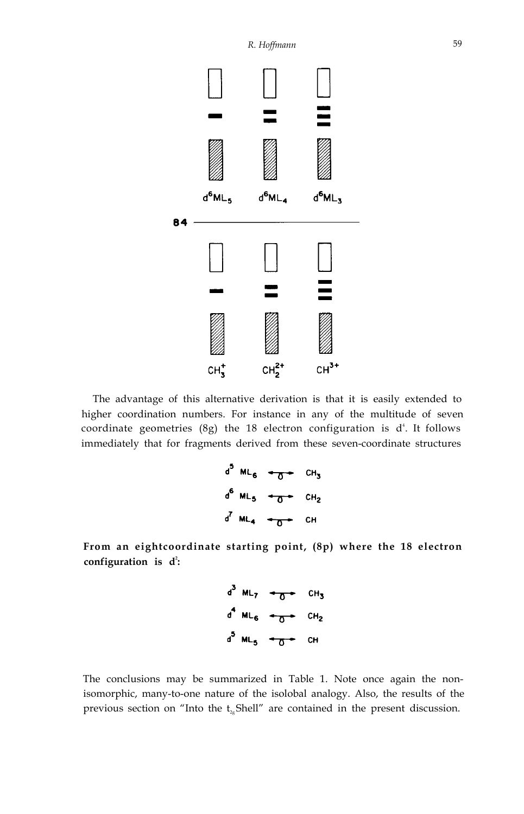

The advantage of this alternative derivation is that it is easily extended to higher coordination numbers. For instance in any of the multitude of seven coordinate geometries (8g) the 18 electron configuration is  $d^*$ . It follows immediately that for fragments derived from these seven-coordinate structures

|  | $d^5$ ML <sub>6</sub> $\rightarrow$ $C_{13}$                      |  |
|--|-------------------------------------------------------------------|--|
|  | $d^6$ ML <sub>5</sub> $\rightarrow$ $\rightarrow$ CH <sub>2</sub> |  |
|  | $d^7$ ML <sub>4</sub> $\rightarrow$ OH                            |  |

**From an eightcoordinate starting point, (8p) where the 18 electron** configuration is d<sup>2</sup>:

|  | $d^3$ ML <sub>7</sub> $\rightarrow 0$ CH <sub>3</sub> |  |
|--|-------------------------------------------------------|--|
|  | $d^4$ ML <sub>6</sub> $+\frac{1}{0}$ CH <sub>2</sub>  |  |
|  | d <sup>5</sup> ML <sub>5</sub> <del>+ 0 +</del> CH    |  |

The conclusions may be summarized in Table 1. Note once again the nonisomorphic, many-to-one nature of the isolobal analogy. Also, the results of the previous section on "Into the  $t_{2g}$ Shell" are contained in the present discussion.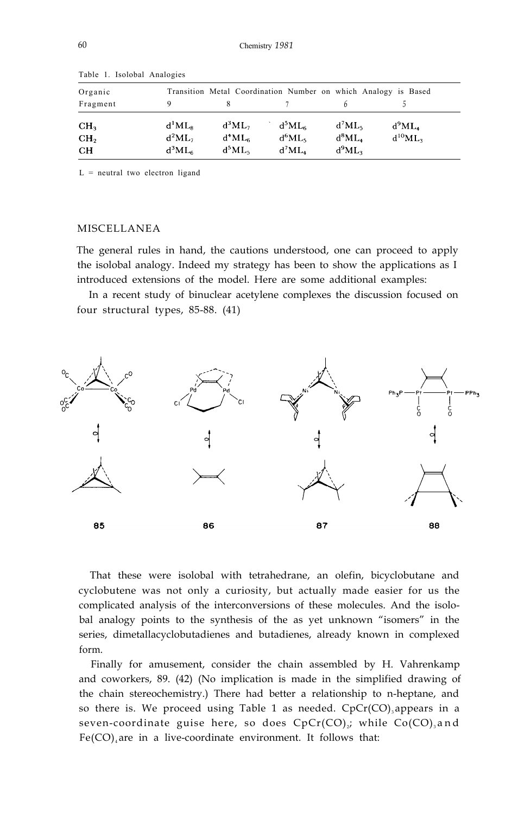| Organic                                         |                                               | Transition Metal Coordination Number on which Analogy is Based |                                     |                                    |                           |
|-------------------------------------------------|-----------------------------------------------|----------------------------------------------------------------|-------------------------------------|------------------------------------|---------------------------|
| Fragment                                        |                                               |                                                                |                                     |                                    |                           |
| CH <sub>3</sub><br>CH <sub>2</sub><br><b>CH</b> | $d^{\dagger}ML_{B}$<br>$d^2ML_7$<br>$d^3ML_6$ | $d^3ML_7$<br>$d^4ML_6$<br>$d^5ML_5$                            | $d^5ML_6$<br>$d^6ML_5$<br>$d^7ML_4$ | $d'ML_5$<br>$d^8ML_4$<br>$d^9ML_3$ | $d^9ML_4$<br>$d^{10}ML_3$ |

Table 1. Isolobal Analogies

 $L$  = neutral two electron ligand

#### MISCELLANEA

The general rules in hand, the cautions understood, one can proceed to apply the isolobal analogy. Indeed my strategy has been to show the applications as I introduced extensions of the model. Here are some additional examples:

In a recent study of binuclear acetylene complexes the discussion focused on four structural types, 85-88. (41)



That these were isolobal with tetrahedrane, an olefin, bicyclobutane and cyclobutene was not only a curiosity, but actually made easier for us the complicated analysis of the interconversions of these molecules. And the isolobal analogy points to the synthesis of the as yet unknown "isomers" in the series, dimetallacyclobutadienes and butadienes, already known in complexed form.

Finally for amusement, consider the chain assembled by H. Vahrenkamp and coworkers, 89. (42) (No implication is made in the simplified drawing of the chain stereochemistry.) There had better a relationship to n-heptane, and so there is. We proceed using Table 1 as needed.  $CpCr(CO)$ , appears in a seven-coordinate guise here, so does  $CpCr(CO)_2$ ; while  $Co(CO)_3$  and  $Fe(CO)$ <sub>4</sub> are in a live-coordinate environment. It follows that: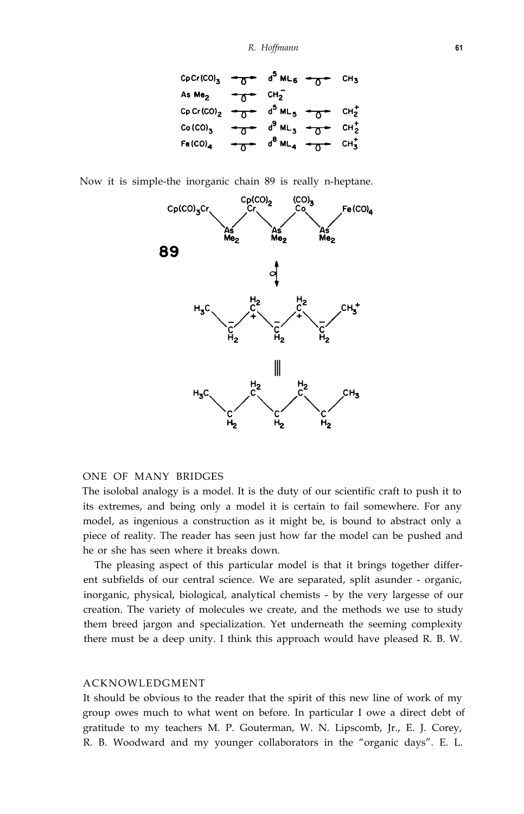Cpcr(CO)<sub>3</sub> 
$$
\frac{1}{\sqrt{9}}
$$
 d<sup>3</sup> ML6  $\frac{1}{\sqrt{9}}$  CH<sub>3</sub>  
As Me<sub>2</sub>  $\frac{1}{\sqrt{9}}$  CH<sub>2</sub>  
CP Cr(CO)<sub>2</sub>  $\frac{1}{\sqrt{9}}$  d<sup>5</sup> ML<sub>5</sub>  $\frac{1}{\sqrt{9}}$  CH<sub>2</sub>  
Co(CO)<sub>3</sub>  $\frac{1}{\sqrt{9}}$  d<sup>3</sup> ML<sub>3</sub>  $\frac{1}{\sqrt{9}}$  CH<sub>2</sub><sup>4</sup>  
Fe(CO)<sub>4</sub>  $\frac{1}{\sqrt{9}}$  d<sup>8</sup> ML<sub>4</sub>  $\frac{1}{\sqrt{9}}$  CH<sub>3</sub><sup>3</sup>

Now it is simple-the inorganic chain 89 is really n-heptane.



#### ONE OF MANY BRIDGES

The isolobal analogy is a model. It is the duty of our scientific craft to push it to its extremes, and being only a model it is certain to fail somewhere. For any model, as ingenious a construction as it might be, is bound to abstract only a piece of reality. The reader has seen just how far the model can be pushed and he or she has seen where it breaks down.

The pleasing aspect of this particular model is that it brings together different subfields of our central science. We are separated, split asunder - organic, inorganic, physical, biological, analytical chemists - by the very largesse of our creation. The variety of molecules we create, and the methods we use to study them breed jargon and specialization. Yet underneath the seeming complexity there must be a deep unity. I think this approach would have pleased R. B. W.

#### ACKNOWLEDGMENT

It should be obvious to the reader that the spirit of this new line of work of my group owes much to what went on before. In particular I owe a direct debt of gratitude to my teachers M. P. Gouterman, W. N. Lipscomb, Jr., E. J. Corey, R. B. Woodward and my younger collaborators in the "organic days". E. L.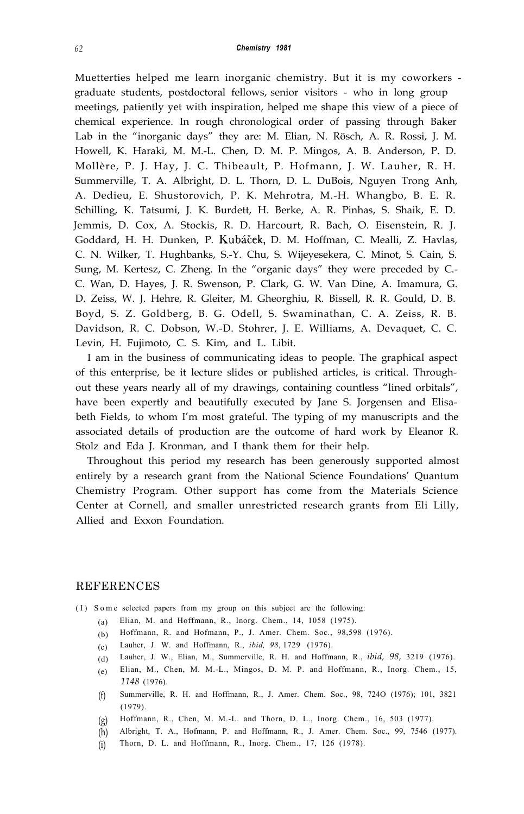Muetterties helped me learn inorganic chemistry. But it is my coworkers graduate students, postdoctoral fellows, senior visitors - who in long group meetings, patiently yet with inspiration, helped me shape this view of a piece of chemical experience. In rough chronological order of passing through Baker Lab in the "inorganic days" they are: M. Elian, N. Rösch, A. R. Rossi, J. M. Howell, K. Haraki, M. M.-L. Chen, D. M. P. Mingos, A. B. Anderson, P. D. Mollère, P. J. Hay, J. C. Thibeault, P. Hofmann, J. W. Lauher, R. H. Summerville, T. A. Albright, D. L. Thorn, D. L. DuBois, Nguyen Trong Anh, A. Dedieu, E. Shustorovich, P. K. Mehrotra, M.-H. Whangbo, B. E. R. Schilling, K. Tatsumi, J. K. Burdett, H. Berke, A. R. Pinhas, S. Shaik, E. D. Jemmis, D. Cox, A. Stockis, R. D. Harcourt, R. Bach, O. Eisenstein, R. J. Goddard, H. H. Dunken, P. Kubáček, D. M. Hoffman, C. Mealli, Z. Havlas, C. N. Wilker, T. Hughbanks, S.-Y. Chu, S. Wijeyesekera, C. Minot, S. Cain, S. Sung, M. Kertesz, C. Zheng. In the "organic days" they were preceded by C.- C. Wan, D. Hayes, J. R. Swenson, P. Clark, G. W. Van Dine, A. Imamura, G. D. Zeiss, W. J. Hehre, R. Gleiter, M. Gheorghiu, R. Bissell, R. R. Gould, D. B. Boyd, S. Z. Goldberg, B. G. Odell, S. Swaminathan, C. A. Zeiss, R. B. Davidson, R. C. Dobson, W.-D. Stohrer, J. E. Williams, A. Devaquet, C. C. Levin, H. Fujimoto, C. S. Kim, and L. Libit.

I am in the business of communicating ideas to people. The graphical aspect of this enterprise, be it lecture slides or published articles, is critical. Throughout these years nearly all of my drawings, containing countless "lined orbitals", have been expertly and beautifully executed by Jane S. Jorgensen and Elisabeth Fields, to whom I'm most grateful. The typing of my manuscripts and the associated details of production are the outcome of hard work by Eleanor R. Stolz and Eda J. Kronman, and I thank them for their help.

Throughout this period my research has been generously supported almost entirely by a research grant from the National Science Foundations' Quantum Chemistry Program. Other support has come from the Materials Science Center at Cornell, and smaller unrestricted research grants from Eli Lilly, Allied and Exxon Foundation.

#### REFERENCES

- (I) S o m e selected papers from my group on this subject are the following:
	- (a) Elian, M. and Hoffmann, R., Inorg. Chem., 14, 1058 (1975).
	- (b) Hoffmann, R. and Hofmann, P., J. Amer. Chem. Soc., 98,598 (1976).
	- (c) Lauher, J. W. and Hoffmann, R., *ibid, 98*, 1729 (1976).
	- (d) Lauher, J. W., Elian, M., Summerville, R. H. and Hoffmann, R., *ibid, 98,* 3219 (1976).
	- (e) Elian, M., Chen, M. M.-L., Mingos, D. M. P. and Hoffmann, R., Inorg. Chem., 15, *1148* (1976).
	- (f) Summerville, R. H. and Hoffmann, R., J. Amer. Chem. Soc., 98, 724O (1976); 101, 3821 (1979).
	- (g) Hoffmann, R., Chen, M. M.-L. and Thorn, D. L., Inorg. Chem., 16, 503 (1977).
	- (h) Albright, T. A., Hofmann, P. and Hoffmann, R., J. Amer. Chem. Soc., 99, 7546 (1977).
	- (i) Thorn, D. L. and Hoffmann, R., Inorg. Chem., 17, 126 (1978).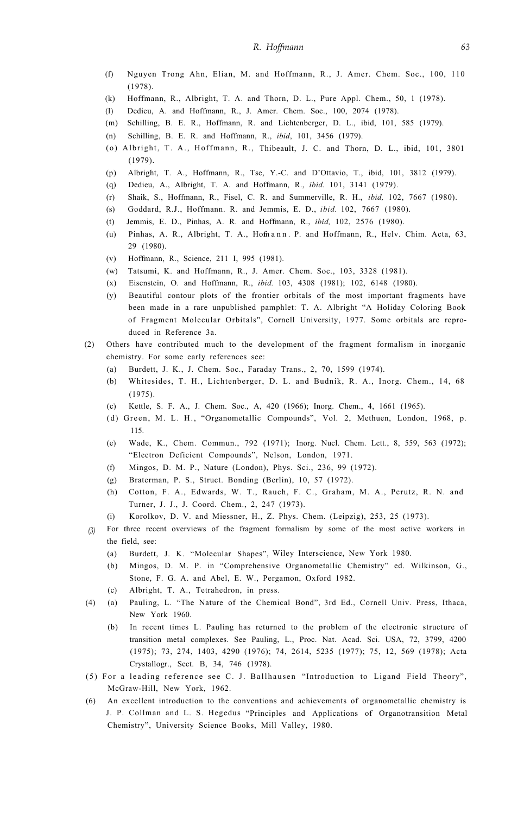- (f) Nguyen Trong Ahn, Elian, M. and Hoffmann, R., J. Amer. Chem. Soc., 100, 110 (1978).
- (k) Hoffmann, R., Albright, T. A. and Thorn, D. L., Pure Appl. Chem., 50, 1 (1978).
- (I) Dedieu, A. and Hoffmann, R., J. Amer. Chem. Soc., 100, 2074 (1978).
- (m) Schilling, B. E. R., Hoffmann, R. and Lichtenberger, D. L., ibid, 101, 585 (1979).
- (n) Schilling, B. E. R. and Hoffmann, R., *ibid*, 101, 3456 (1979).
- (o) Albright, T. A., Hoffmann, R., Thibeault, J. C. and Thorn, D. L., ibid, 101, 3801 (1979).
- (p) Albright, T. A., Hoffmann, R., Tse, Y.-C. and D'Ottavio, T., ibid, 101, 3812 (1979).
- (q) Dedieu, A., Albright, T. A. and Hoffmann, R., *ibid.* 101, 3141 (1979).
- (r) Shaik, S., Hoffmann, R., Fisel, C. R. and Summerville, R. H., *ibid,* 102, 7667 (1980).
- (s) Goddard, R.J., Hoffmann. R. and Jemmis, E. D., *ibid.* 102, 7667 (1980).
- (t) Jemmis, E. D., Pinhas, A. R. and Hoffmann, R., *ibid,* 102, 2576 (1980).
- (u) Pinhas, A. R., Albright, T. A., Hofnann. P. and Hoffmann, R., Helv. Chim. Acta, 63, 29 (1980).
- (v) Hoffmann, R., Science, 211 I, 995 (1981).
- (w) Tatsumi, K. and Hoffmann, R., J. Amer. Chem. Soc., 103, 3328 (1981).
- (x) Eisenstein, O. and Hoffmann, R., *ibid.* 103, 4308 (1981); 102, 6148 (1980).
- (y) Beautiful contour plots of the frontier orbitals of the most important fragments have been made in a rare unpublished pamphlet: T. A. Albright "A Holiday Coloring Book of Fragment Molecular Orbitals", Cornell University, 1977. Some orbitals are reproduced in Reference 3a.
- (2) Others have contributed much to the development of the fragment formalism in inorganic chemistry. For some early references see:
	- (a) Burdett, J. K., J. Chem. Soc., Faraday Trans., 2, 70, 1599 (1974).
	- (b) Whitesides, T. H., Lichtenberger, D. L. and Budnik, R. A., Inorg. Chem., 14, 68 (1975).
	- (c) Kettle, S. F. A., J. Chem. Soc., A, 420 (1966); Inorg. Chem., 4, 1661 (1965).
	- (d) Green, M. L. H., "Organometallic Compounds", Vol. 2, Methuen, London, 1968, p. 115.
	- (e) Wade, K., Chem. Commun., 792 (1971); Inorg. Nucl. Chem. Lctt., 8, 559, 563 (1972); "Electron Deficient Compounds", Nelson, London, 1971.
	- (f) Mingos, D. M. P., Nature (London), Phys. Sci., 236, 99 (1972).
	- (g) Braterman, P. S., Struct. Bonding (Berlin), 10, 57 (1972).
	- (h) Cotton, F. A., Edwards, W. T., Rauch, F. C., Graham, M. A., Perutz, R. N. and Turner, J. J., J. Coord. Chem., 2, 247 (1973).
	- (i) Korolkov, D. V. and Miessner, H., Z. Phys. Chem. (Leipzig), 253, 25 (1973).
- *(3)* For three recent overviews of the fragment formalism by some of the most active workers in the field, see:
	- (a) Burdett, J. K. "Molecular Shapes", Wiley Interscience, New York 1980.
	- (b) Mingos, D. M. P. in "Comprehensive Organometallic Chemistry" ed. Wilkinson, G., Stone, F. G. A. and Abel, E. W., Pergamon, Oxford 1982.
	- (c) Albright, T. A., Tetrahedron, in press.
- (4) (a) Pauling, L. "The Nature of the Chemical Bond", 3rd Ed., Cornell Univ. Press, Ithaca, New York 1960.
	- (b) In recent times L. Pauling has returned to the problem of the electronic structure of transition metal complexes. See Pauling, L., Proc. Nat. Acad. Sci. USA, 72, 3799, 4200 (1975); 73, 274, 1403, 4290 (1976); 74, 2614, 5235 (1977); 75, 12, 569 (1978); Acta Crystallogr., Sect. B, 34, 746 (1978).
- (5) For a leading reference see C. J. Ballhausen "Introduction to Ligand Field Theory", McGraw-Hill, New York, 1962.
- (6) An excellent introduction to the conventions and achievements of organometallic chemistry is J. P. Collman and L. S. Hegedus "Principles and Applications of Organotransition Metal Chemistry", University Science Books, Mill Valley, 1980.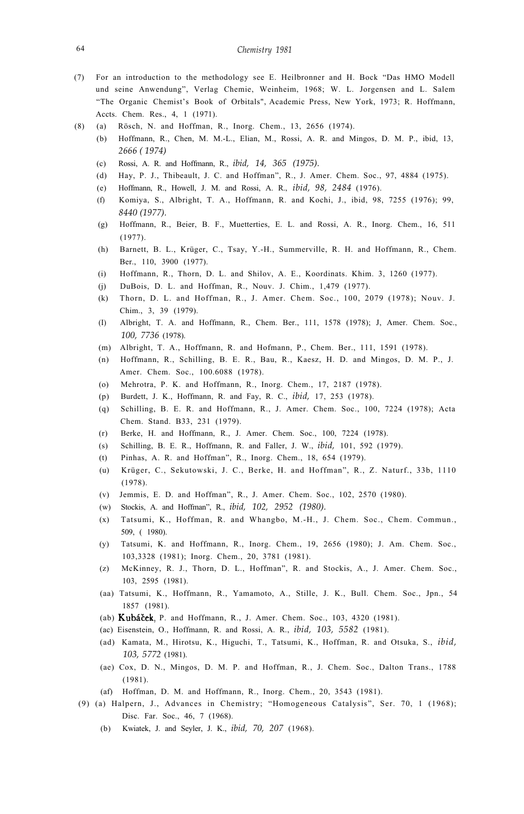- (7) For an introduction to the methodology see E. Heilbronner and H. Bock "Das HMO Modell und seine Anwendung", Verlag Chemie, Weinheim, 1968; W. L. Jorgensen and L. Salem "The Organic Chemist's Book of Orbitals", Academic Press, New York, 1973; R. Hoffmann, Accts. Chem. Res., 4, 1 (1971).
- (8) (a) Rösch, N. and Hoffman, R., Inorg. Chem., 13, 2656 (1974).
	- (b) Hoffmann, R., Chen, M. M.-L., Elian, M., Rossi, A. R. and Mingos, D. M. P., ibid, 13, *2666 ( 1974)*
	- (c) Rossi, A. R. and Hoffmann, R., *ibid, 14, 365 (1975).*
	- (d) Hay, P. J., Thibeault, J. C. and Hoffman", R., J. Amer. Chem. Soc., 97, 4884 (1975).
	- (e) Hoffmann, R., Howell, J. M. and Rossi, A. R., *ibid, 98, 2484* (1976).
	- (f) Komiya, S., Albright, T. A., Hoffmann, R. and Kochi, J., ibid, 98, 7255 (1976); 99, *8440 (1977).*
	- (g) Hoffmann, R., Beier, B. F., Muetterties, E. L. and Rossi, A. R., Inorg. Chem., 16, 511 (1977).
	- (h) Barnett, B. L., Krüger, C., Tsay, Y.-H., Summerville, R. H. and Hoffmann, R., Chem. Ber., 110, 3900 (1977).
	- (i) Hoffmann, R., Thorn, D. L. and Shilov, A. E., Koordinats. Khim. 3, 1260 (1977).
	- (j) DuBois, D. L. and Hoffman, R., Nouv. J. Chim., 1,479 (1977).
	- (k) Thorn, D. L. and Hoffman, R., J. Amer. Chem. Soc., 100, 2079 (1978); Nouv. J. Chim., 3, 39 (1979).
	- (I) Albright, T. A. and Hoffmann, R., Chem. Ber., 111, 1578 (1978); J, Amer. Chem. Soc., *100, 7736* (1978).
	- (m) Albright, T. A., Hoffmann, R. and Hofmann, P., Chem. Ber., 111, 1591 (1978).
	- (n) Hoffmann, R., Schilling, B. E. R., Bau, R., Kaesz, H. D. and Mingos, D. M. P., J. Amer. Chem. Soc., 100.6088 (1978).
	- (o) Mehrotra, P. K. and Hoffmann, R., Inorg. Chem., 17, 2187 (1978).
	- (p) Burdett, J. K., Hoffmann, R. and Fay, R. C., *ibid,* 17, 253 (1978).
	- (q) Schilling, B. E. R. and Hoffmann, R., J. Amer. Chem. Soc., 100, 7224 (1978); Acta Chem. Stand. B33, 231 (1979).
	- (r) Berke, H. and Hoffmann, R., J. Amer. Chem. Soc., 100, 7224 (1978).
	- (s) Schilling, B. E. R., Hoffmann, R. and Faller, J. W., *ibid,* 101, 592 (1979).
	- (t) Pinhas, A. R. and Hoffman", R., Inorg. Chem., 18, 654 (1979).
	- (u) Krüger, C., Sekutowski, J. C., Berke, H. and Hoffman", R., Z. Naturf., 33b, 1110 (1978).
	- (v) Jemmis, E. D. and Hoffman", R., J. Amer. Chem. Soc., 102, 2570 (1980).
	- (w) Stockis, A. and Hoffman", R., *ibid, 102, 2952 (1980).*
	- (x) Tatsumi, K., Hoffman, R. and Whangbo, M.-H., J. Chem. Soc., Chem. Commun., 509, ( 1980).
	- (y) Tatsumi, K. and Hoffmann, R., Inorg. Chem., 19, 2656 (1980); J. Am. Chem. Soc., 103,3328 (1981); Inorg. Chem., 20, 3781 (1981).
	- (z) McKinney, R. J., Thorn, D. L., Hoffman", R. and Stockis, A., J. Amer. Chem. Soc., 103, 2595 (1981).
	- (aa) Tatsumi, K., Hoffmann, R., Yamamoto, A., Stille, J. K., Bull. Chem. Soc., Jpn., 54 1857 (1981).
	- (ab) Kubáček, P. and Hoffmann, R., J. Amer. Chem. Soc., 103, 4320 (1981).
	- (ac) Eisenstein, O., Hoffmann, R. and Rossi, A. R., *ibid, 103, 5582* (1981).
	- (ad) Kamata, M., Hirotsu, K., Higuchi, T., Tatsumi, K., Hoffman, R. and Otsuka, S., *ibid, 103, 5772* (1981).
	- (ae) Cox, D. N., Mingos, D. M. P. and Hoffman, R., J. Chem. Soc., Dalton Trans., 1788 (1981).
	- (af) Hoffman, D. M. and Hoffmann, R., Inorg. Chem., 20, 3543 (1981).
- (9) (a) Halpern, J., Advances in Chemistry; "Homogeneous Catalysis", Ser. 70, 1 (1968); Disc. Far. Soc., 46, 7 (1968).
	- (b) Kwiatek, J. and Seyler, J. K., *ibid, 70, 207* (1968).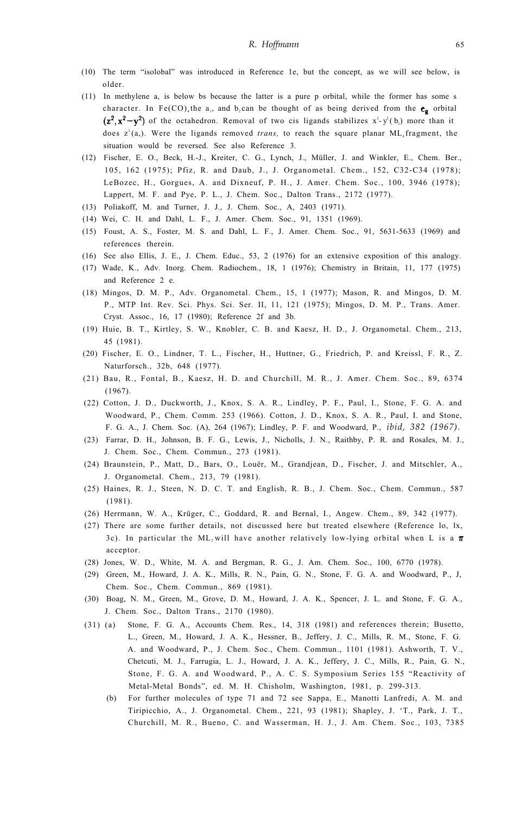- (10) The term "isolobal" was introduced in Reference 1e, but the concept, as we will see below, is older.
- (11) In methylene a, is below bs because the latter is a pure p orbital, while the former has some s character. In Fe(CO)<sub>4</sub> the a<sub>1</sub>, and b<sub>2</sub> can be thought of as being derived from the  $e_{\alpha}$  orbital of the octahedron. Removal of two cis ligands stabilizes  $x^2 - y^2(b_2)$  more than it does  $z^2(a)$ . Were the ligands removed *trans*, to reach the square planar ML<sub>4</sub> fragment, the situation would be reversed. See also Reference 3.
- (12) Fischer, E. O., Beck, H.-J., Kreiter, C. G., Lynch, J., Müller, J. and Winkler, E., Chem. Ber., 105, 162 (1975); Pfiz, R. and Daub, J., J. Organometal. Chem., 152, C32-C34 (1978); LeBozec, H., Gorgues, A. and Dixneuf, P. H., J. Amer. Chem. Soc., 100, 3946 (1978); Lappert, M. F. and Pye, P. L., J. Chem. Soc., Dalton Trans., 2172 (1977).
- (13) Poliakoff, M. and Turner, J. J., J. Chem. Soc., A, 2403 (1971).
- (14) Wei, C. H. and Dahl, L. F., J. Amer. Chem. Soc., 91, 1351 (1969).
- (15) Foust, A. S., Foster, M. S. and Dahl, L. F., J. Amer. Chem. Soc., 91, 5631-5633 (1969) and references therein.
- (16) See also Ellis, J. E., J. Chem. Educ., 53, 2 (1976) for an extensive exposition of this analogy.
- (17) Wade, K., Adv. Inorg. Chem. Radiochem., 18, 1 (1976); Chemistry in Britain, 11, 177 (1975) and Reference 2 e.
- (18) Mingos, D. M. P., Adv. Organometal. Chem., 15, 1 (1977); Mason, R. and Mingos, D. M. P., MTP Int. Rev. Sci. Phys. Sci. Ser. II, 11, 121 (1975); Mingos, D. M. P., Trans. Amer. Cryst. Assoc., 16, 17 (1980); Reference 2f and 3b.
- (19) Huie, B. T., Kirtley, S. W., Knobler, C. B. and Kaesz, H. D., J. Organometal. Chem., 213, 45 (1981).
- (20) Fischer, E. O., Lindner, T. L., Fischer, H., Huttner, G., Friedrich, P. and Kreissl, F. R., Z. Naturforsch., 32b, 648 (1977).
- (21) Bau, R., Fontal, B., Kaesz, H. D. and Churchill, M. R., J. Amer. Chem. Soc., 89, 6374 (1967).
- (22) Cotton, J. D., Duckworth, J., Knox, S. A. R., Lindley, P. F., Paul, I., Stone, F. G. A. and Woodward, P., Chem. Comm. 253 (1966). Cotton, J. D., Knox, S. A. R., Paul, I. and Stone, F. G. A., J. Chem. Soc. (A), 264 (1967); Lindley, P. F. and Woodward, P., *ibid, 382 (1967).*
- (23) Farrar, D. H., Johnson, B. F. G., Lewis, J., Nicholls, J. N., Raithby, P. R. and Rosales, M. J., J. Chem. Soc., Chem. Commun., 273 (1981).
- (24) Braunstein, P., Matt, D., Bars, O., Louër, M., Grandjean, D., Fischer, J. and Mitschler, A., J. Organometal. Chem., 213, 79 (1981).
- (25) Haines, R. J., Steen, N. D. C. T. and English, R. B., J. Chem. Soc., Chem. Commun., 587 (1981).
- (26) Herrmann, W. A., Krüger, C., Goddard, R. and Bernal, I., Angew. Chem., 89, 342 (1977).
- (27) There are some further details, not discussed here but treated elsewhere (Reference lo, lx, 3c). In particular the ML<sub>2</sub> will have another relatively low-lying orbital when L is a  $\pi$ acceptor.
- (28) Jones, W. D., White, M. A. and Bergman, R. G., J. Am. Chem. Soc., 100, 6770 (1978).
- (29) Green, M., Howard, J. A. K., Mills, R. N., Pain, G. N., Stone, F. G. A. and Woodward, P., J, Chem. Soc., Chem. Commun., 869 (1981).
- (30) Boag, N. M., Green, M., Grove, D. M., Howard, J. A. K., Spencer, J. L. and Stone, F. G. A., J. Chem. Soc., Dalton Trans., 2170 (1980).
- (31) (a) Stone, F. G. A., Accounts Chem. Res., 14, 318 (1981) and references therein; Busetto, L., Green, M., Howard, J. A. K., Hessner, B., Jeffery, J. C., Mills, R. M., Stone, F. G. A. and Woodward, P., J. Chem. Soc., Chem. Commun., 1101 (1981). Ashworth, T. V., Chetcuti, M. J., Farrugia, L. J., Howard, J. A. K., Jeffery, J. C., Mills, R., Pain, G. N., Stone, F. G. A. and Woodward, P., A. C. S. Symposium Series 155 "Reactivity of Metal-Metal Bonds", ed. M. H. Chisholm, Washington, 1981, p. 299-313.
	- (b) For further molecules of type 71 and 72 see Sappa, E., Manotti Lanfredi, A. M. and Tiripicchio, A., J. Organometal. Chem., 221, 93 (1981); Shapley, J. 'T., Park, J. T., Churchill, M. R., Bueno, C. and Wasserman, H. J., J. Am. Chem. Soc., 103, 7385